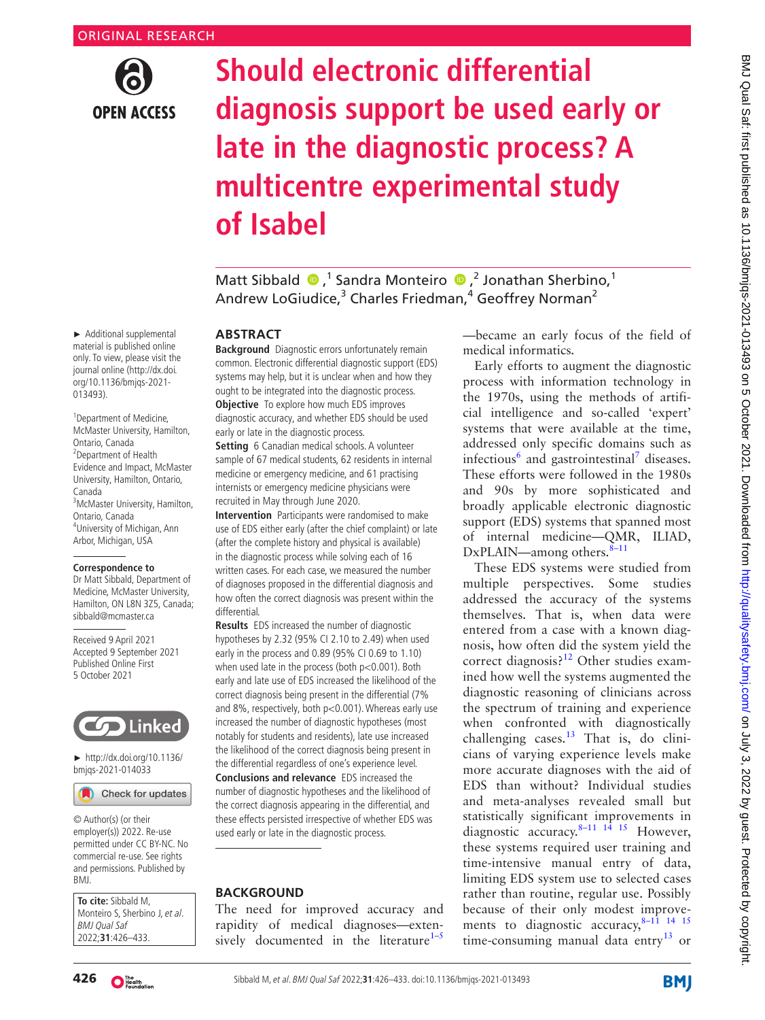

► Additional supplemental material is published online only. To view, please visit the journal online ([http://dx.doi.](http://dx.doi.org/10.1136/bmjqs-2021-013493) [org/10.1136/bmjqs-2021-](http://dx.doi.org/10.1136/bmjqs-2021-013493)

1 Department of Medicine, McMaster University, Hamilton,

<sup>3</sup>McMaster University, Hamilton,

4 University of Michigan, Ann Arbor, Michigan, USA

Ontario, Canada 2 Department of Health Evidence and Impact, McMaster University, Hamilton, Ontario,

Ontario, Canada

**Correspondence to** Dr Matt Sibbald, Department of Medicine, McMaster University, Hamilton, ON L8N 3Z5, Canada; sibbald@mcmaster.ca Received 9 April 2021 Accepted 9 September 2021 Published Online First 5 October 2021

[013493](http://dx.doi.org/10.1136/bmjqs-2021-013493)).

Canada

# **Should electronic differential diagnosis support be used early or late in the diagnostic process? A multicentre experimental study of Isabel**

MattSibbald  $\bullet$ ,<sup>1</sup> Sandra Monteiro  $\bullet$ ,<sup>2</sup> Jonathan Sherbino,<sup>1</sup> Andrew LoGiudice,<sup>3</sup> Charles Friedman,<sup>4</sup> Geoffrey Norman<sup>2</sup>

## **ABSTRACT**

**Background** Diagnostic errors unfortunately remain common. Electronic differential diagnostic support (EDS) systems may help, but it is unclear when and how they ought to be integrated into the diagnostic process. **Objective** To explore how much EDS improves diagnostic accuracy, and whether EDS should be used early or late in the diagnostic process.

**Setting** 6 Canadian medical schools. A volunteer sample of 67 medical students, 62 residents in internal medicine or emergency medicine, and 61 practising internists or emergency medicine physicians were recruited in May through June 2020.

**Intervention** Participants were randomised to make use of EDS either early (after the chief complaint) or late (after the complete history and physical is available) in the diagnostic process while solving each of 16 written cases. For each case, we measured the number of diagnoses proposed in the differential diagnosis and how often the correct diagnosis was present within the differential.

**Results** EDS increased the number of diagnostic hypotheses by 2.32 (95% CI 2.10 to 2.49) when used early in the process and 0.89 (95% CI 0.69 to 1.10) when used late in the process (both p<0.001). Both early and late use of EDS increased the likelihood of the correct diagnosis being present in the differential (7% and 8%, respectively, both p<0.001). Whereas early use increased the number of diagnostic hypotheses (most notably for students and residents), late use increased the likelihood of the correct diagnosis being present in the differential regardless of one's experience level. **Conclusions and relevance** EDS increased the number of diagnostic hypotheses and the likelihood of the correct diagnosis appearing in the differential, and these effects persisted irrespective of whether EDS was used early or late in the diagnostic process.

# **BACKGROUND**

The need for improved accuracy and rapidity of medical diagnoses—extensively documented in the literature $1-5$  —became an early focus of the field of medical informatics.

Early efforts to augment the diagnostic process with information technology in the 1970s, using the methods of artificial intelligence and so-called 'expert' systems that were available at the time, addressed only specific domains such as infectious<sup>6</sup> and gastrointestinal<sup>[7](#page-7-1)</sup> diseases. These efforts were followed in the 1980s and 90s by more sophisticated and broadly applicable electronic diagnostic support (EDS) systems that spanned most of internal medicine—QMR, ILIAD,  $DxPLAIN$ —among others. $8-11$ 

These EDS systems were studied from multiple perspectives. Some studies addressed the accuracy of the systems themselves. That is, when data were entered from a case with a known diagnosis, how often did the system yield the correct diagnosis? $12$  Other studies examined how well the systems augmented the diagnostic reasoning of clinicians across the spectrum of training and experience when confronted with diagnostically challenging cases.<sup>[13](#page-7-4)</sup> That is, do clinicians of varying experience levels make more accurate diagnoses with the aid of EDS than without? Individual studies and meta-analyses revealed small but statistically significant improvements in diagnostic accuracy.<sup>8-11 14</sup> <sup>15</sup> However, these systems required user training and time-intensive manual entry of data, limiting EDS system use to selected cases rather than routine, regular use. Possibly because of their only modest improvements to diagnostic accuracy, 8-11 14 15 time-consuming manual data entry<sup>[13](#page-7-4)</sup> or



**To cite:** Sibbald M, Monteiro S, Sherbino J, et al.

© Author(s) (or their employer(s)) 2022. Re-use permitted under CC BY-NC. No commercial re-use. See rights and permissions. Published by

► [http://dx.doi.org/10.1136/](http://dx.doi.org/10.1136/bmjqs-2021-014033) [bmjqs-2021-014033](http://dx.doi.org/10.1136/bmjqs-2021-014033)

Check for updates

Linked

BMJ Qual Saf 2022;**31**:426–433.

BMJ.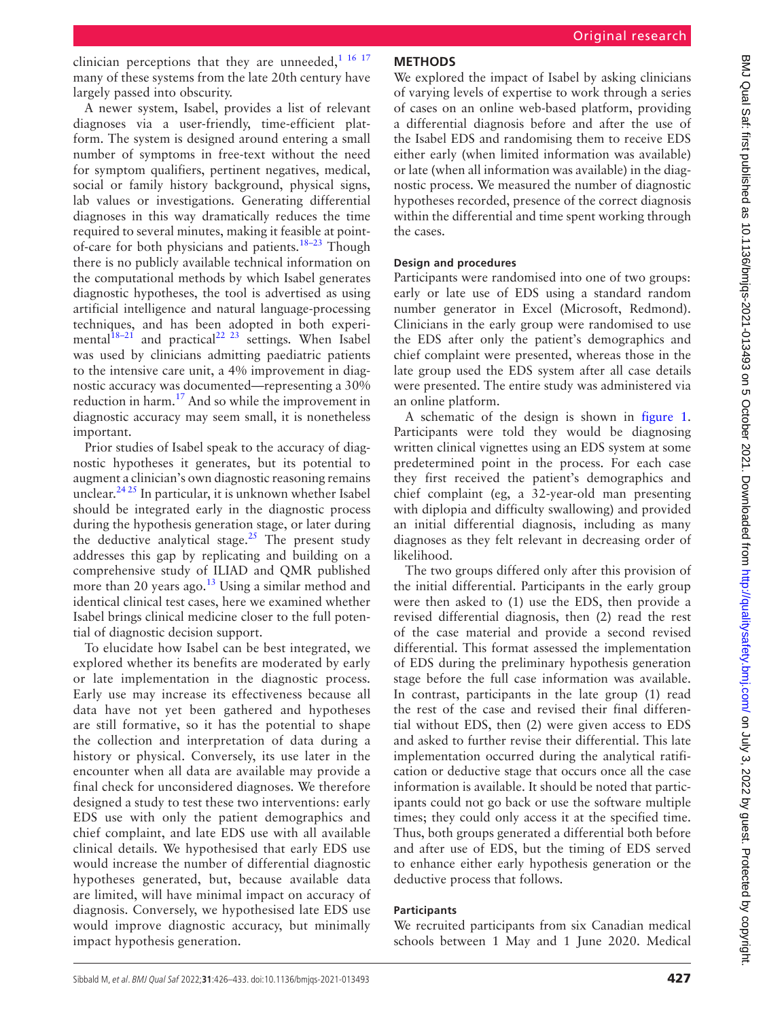clinician perceptions that they are unneeded,  $1^{16}$  17 many of these systems from the late 20th century have largely passed into obscurity.

A newer system, Isabel, provides a list of relevant diagnoses via a user-friendly, time-efficient platform. The system is designed around entering a small number of symptoms in free-text without the need for symptom qualifiers, pertinent negatives, medical, social or family history background, physical signs, lab values or investigations. Generating differential diagnoses in this way dramatically reduces the time required to several minutes, making it feasible at point-of-care for both physicians and patients.<sup>[18–23](#page-7-5)</sup> Though there is no publicly available technical information on the computational methods by which Isabel generates diagnostic hypotheses, the tool is advertised as using artificial intelligence and natural language-processing techniques, and has been adopted in both experimental $18-21$  and practical<sup>22 23</sup> settings. When Isabel was used by clinicians admitting paediatric patients to the intensive care unit, a 4% improvement in diagnostic accuracy was documented—representing a 30% reduction in harm.[17](#page-7-7) And so while the improvement in diagnostic accuracy may seem small, it is nonetheless important.

Prior studies of Isabel speak to the accuracy of diagnostic hypotheses it generates, but its potential to augment a clinician's own diagnostic reasoning remains unclear.<sup>24 25</sup> In particular, it is unknown whether Isabel should be integrated early in the diagnostic process during the hypothesis generation stage, or later during the deductive analytical stage.<sup>25</sup> The present study addresses this gap by replicating and building on a comprehensive study of ILIAD and QMR published more than 20 years ago.<sup>[13](#page-7-4)</sup> Using a similar method and identical clinical test cases, here we examined whether Isabel brings clinical medicine closer to the full potential of diagnostic decision support.

To elucidate how Isabel can be best integrated, we explored whether its benefits are moderated by early or late implementation in the diagnostic process. Early use may increase its effectiveness because all data have not yet been gathered and hypotheses are still formative, so it has the potential to shape the collection and interpretation of data during a history or physical. Conversely, its use later in the encounter when all data are available may provide a final check for unconsidered diagnoses. We therefore designed a study to test these two interventions: early EDS use with only the patient demographics and chief complaint, and late EDS use with all available clinical details. We hypothesised that early EDS use would increase the number of differential diagnostic hypotheses generated, but, because available data are limited, will have minimal impact on accuracy of diagnosis. Conversely, we hypothesised late EDS use would improve diagnostic accuracy, but minimally impact hypothesis generation.

# **METHODS**

We explored the impact of Isabel by asking clinicians of varying levels of expertise to work through a series of cases on an online web-based platform, providing a differential diagnosis before and after the use of the Isabel EDS and randomising them to receive EDS either early (when limited information was available) or late (when all information was available) in the diagnostic process. We measured the number of diagnostic hypotheses recorded, presence of the correct diagnosis within the differential and time spent working through the cases.

# **Design and procedures**

Participants were randomised into one of two groups: early or late use of EDS using a standard random number generator in Excel (Microsoft, Redmond). Clinicians in the early group were randomised to use the EDS after only the patient's demographics and chief complaint were presented, whereas those in the late group used the EDS system after all case details were presented. The entire study was administered via an online platform.

A schematic of the design is shown in [figure](#page-2-0) 1. Participants were told they would be diagnosing written clinical vignettes using an EDS system at some predetermined point in the process. For each case they first received the patient's demographics and chief complaint (eg, a 32-year-old man presenting with diplopia and difficulty swallowing) and provided an initial differential diagnosis, including as many diagnoses as they felt relevant in decreasing order of likelihood.

The two groups differed only after this provision of the initial differential. Participants in the early group were then asked to (1) use the EDS, then provide a revised differential diagnosis, then (2) read the rest of the case material and provide a second revised differential. This format assessed the implementation of EDS during the preliminary hypothesis generation stage before the full case information was available. In contrast, participants in the late group (1) read the rest of the case and revised their final differential without EDS, then (2) were given access to EDS and asked to further revise their differential. This late implementation occurred during the analytical ratification or deductive stage that occurs once all the case information is available. It should be noted that participants could not go back or use the software multiple times; they could only access it at the specified time. Thus, both groups generated a differential both before and after use of EDS, but the timing of EDS served to enhance either early hypothesis generation or the deductive process that follows.

# **Participants**

We recruited participants from six Canadian medical schools between 1 May and 1 June 2020. Medical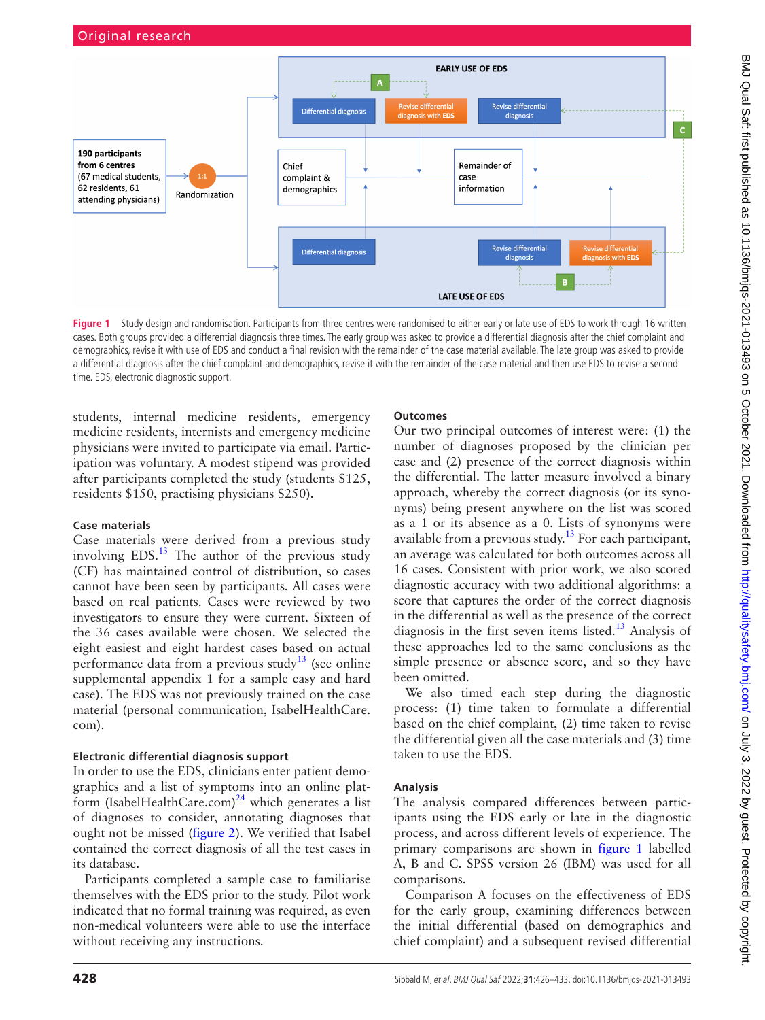

<span id="page-2-0"></span>Figure 1 Study design and randomisation. Participants from three centres were randomised to either early or late use of EDS to work through 16 written cases. Both groups provided a differential diagnosis three times. The early group was asked to provide a differential diagnosis after the chief complaint and demographics, revise it with use of EDS and conduct a final revision with the remainder of the case material available. The late group was asked to provide a differential diagnosis after the chief complaint and demographics, revise it with the remainder of the case material and then use EDS to revise a second time. EDS, electronic diagnostic support.

students, internal medicine residents, emergency medicine residents, internists and emergency medicine physicians were invited to participate via email. Participation was voluntary. A modest stipend was provided after participants completed the study (students \$125, residents \$150, practising physicians \$250).

### **Case materials**

Case materials were derived from a previous study involving  $EDS<sup>13</sup>$ . The author of the previous study (CF) has maintained control of distribution, so cases cannot have been seen by participants. All cases were based on real patients. Cases were reviewed by two investigators to ensure they were current. Sixteen of the 36 cases available were chosen. We selected the eight easiest and eight hardest cases based on actual performance data from a previous study<sup>13</sup> (see online [supplemental appendix 1](https://dx.doi.org/10.1136/bmjqs-2021-013493) for a sample easy and hard case). The EDS was not previously trained on the case material (personal communication, IsabelHealthCare. com).

#### **Electronic differential diagnosis support**

In order to use the EDS, clinicians enter patient demographics and a list of symptoms into an online plat-form (IsabelHealthCare.com)<sup>[24](#page-7-8)</sup> which generates a list of diagnoses to consider, annotating diagnoses that ought not be missed ([figure](#page-3-0) 2). We verified that Isabel contained the correct diagnosis of all the test cases in its database.

Participants completed a sample case to familiarise themselves with the EDS prior to the study. Pilot work indicated that no formal training was required, as even non-medical volunteers were able to use the interface without receiving any instructions.

#### **Outcomes**

Our two principal outcomes of interest were: (1) the number of diagnoses proposed by the clinician per case and (2) presence of the correct diagnosis within the differential. The latter measure involved a binary approach, whereby the correct diagnosis (or its synonyms) being present anywhere on the list was scored as a 1 or its absence as a 0. Lists of synonyms were available from a previous study.<sup>13</sup> For each participant, an average was calculated for both outcomes across all 16 cases. Consistent with prior work, we also scored diagnostic accuracy with two additional algorithms: a score that captures the order of the correct diagnosis in the differential as well as the presence of the correct diagnosis in the first seven items listed.<sup>13</sup> Analysis of these approaches led to the same conclusions as the simple presence or absence score, and so they have been omitted.

We also timed each step during the diagnostic process: (1) time taken to formulate a differential based on the chief complaint, (2) time taken to revise the differential given all the case materials and (3) time taken to use the EDS.

#### **Analysis**

The analysis compared differences between participants using the EDS early or late in the diagnostic process, and across different levels of experience. The primary comparisons are shown in [figure](#page-2-0) 1 labelled A, B and C. SPSS version 26 (IBM) was used for all comparisons.

Comparison A focuses on the effectiveness of EDS for the early group, examining differences between the initial differential (based on demographics and chief complaint) and a subsequent revised differential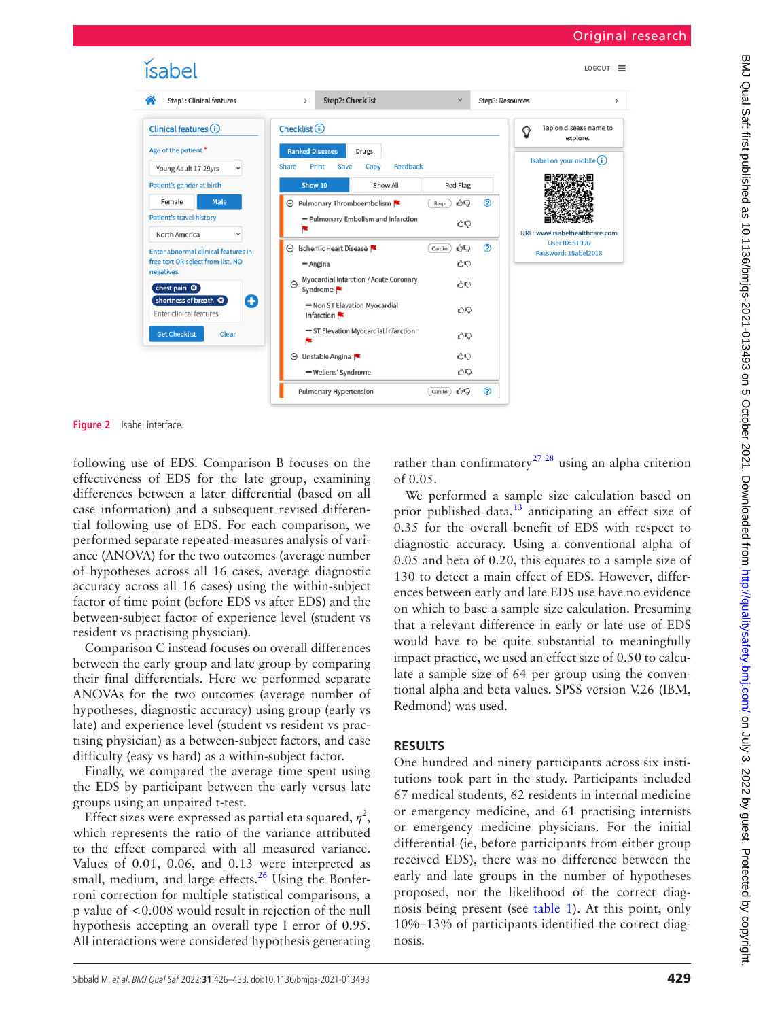# Original research



<span id="page-3-0"></span>**Figure 2** Isabel interface.

following use of EDS. Comparison B focuses on the effectiveness of EDS for the late group, examining differences between a later differential (based on all case information) and a subsequent revised differential following use of EDS. For each comparison, we performed separate repeated-measures analysis of variance (ANOVA) for the two outcomes (average number of hypotheses across all 16 cases, average diagnostic accuracy across all 16 cases) using the within-subject factor of time point (before EDS vs after EDS) and the between-subject factor of experience level (student vs resident vs practising physician).

Comparison C instead focuses on overall differences between the early group and late group by comparing their final differentials. Here we performed separate ANOVAs for the two outcomes (average number of hypotheses, diagnostic accuracy) using group (early vs late) and experience level (student vs resident vs practising physician) as a between-subject factors, and case difficulty (easy vs hard) as a within-subject factor.

Finally, we compared the average time spent using the EDS by participant between the early versus late groups using an unpaired t-test.

Effect sizes were expressed as partial eta squared,  $\eta^2$ , which represents the ratio of the variance attributed to the effect compared with all measured variance. Values of 0.01, 0.06, and 0.13 were interpreted as small, medium, and large effects. $^{26}$  $^{26}$  $^{26}$  Using the Bonferroni correction for multiple statistical comparisons, a p value of <0.008 would result in rejection of the null hypothesis accepting an overall type I error of 0.95. All interactions were considered hypothesis generating

rather than confirmatory<sup>27 28</sup> using an alpha criterion of 0.05.

We performed a sample size calculation based on prior published data, $^{13}$  $^{13}$  $^{13}$  anticipating an effect size of 0.35 for the overall benefit of EDS with respect to diagnostic accuracy. Using a conventional alpha of 0.05 and beta of 0.20, this equates to a sample size of 130 to detect a main effect of EDS. However, differences between early and late EDS use have no evidence on which to base a sample size calculation. Presuming that a relevant difference in early or late use of EDS would have to be quite substantial to meaningfully impact practice, we used an effect size of 0.50 to calculate a sample size of 64 per group using the conventional alpha and beta values. SPSS version V.26 (IBM, Redmond) was used.

# **RESULTS**

One hundred and ninety participants across six institutions took part in the study. Participants included 67 medical students, 62 residents in internal medicine or emergency medicine, and 61 practising internists or emergency medicine physicians. For the initial differential (ie, before participants from either group received EDS), there was no difference between the early and late groups in the number of hypotheses proposed, nor the likelihood of the correct diagnosis being present (see [table](#page-4-0) 1). At this point, only 10%–13% of participants identified the correct diagnosis.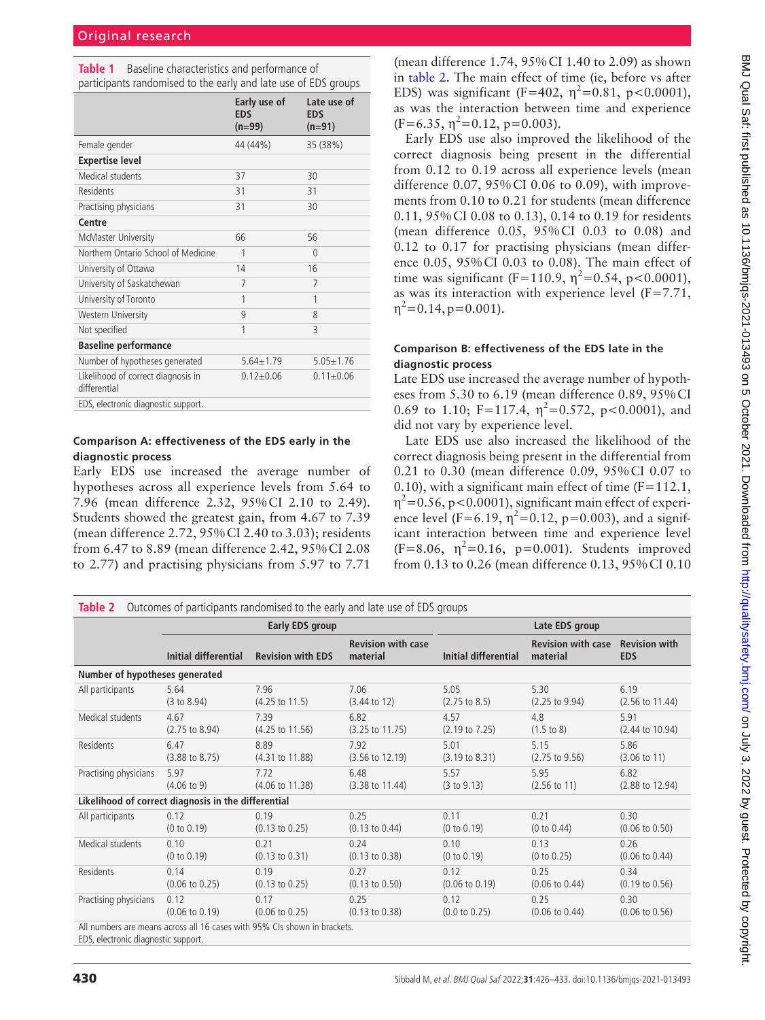<span id="page-4-0"></span>

| <b>Table 1</b> Baseline characteristics and performance of      |
|-----------------------------------------------------------------|
| participants randomised to the early and late use of EDS groups |

|                                                    | Early use of<br><b>EDS</b><br>$(n=99)$ | Late use of<br><b>EDS</b><br>$(n=91)$ |
|----------------------------------------------------|----------------------------------------|---------------------------------------|
| Female gender                                      | 44 (44%)                               | 35 (38%)                              |
| <b>Expertise level</b>                             |                                        |                                       |
| Medical students                                   | 37                                     | 30                                    |
| Residents                                          | 31                                     | 31                                    |
| Practising physicians                              | 31                                     | 30                                    |
| Centre                                             |                                        |                                       |
| McMaster University                                | 66                                     | 56                                    |
| Northern Ontario School of Medicine                | 1                                      | $\theta$                              |
| University of Ottawa                               | 14                                     | 16                                    |
| University of Saskatchewan                         | $\overline{7}$                         | 7                                     |
| University of Toronto                              | 1                                      | 1                                     |
| Western University                                 | 9                                      | 8                                     |
| Not specified                                      | 1                                      | 3                                     |
| <b>Baseline performance</b>                        |                                        |                                       |
| Number of hypotheses generated                     | $5.64 \pm 1.79$                        | $5.05 \pm 1.76$                       |
| Likelihood of correct diagnosis in<br>differential | $0.12 \pm 0.06$                        | $0.11 \pm 0.06$                       |
| EDS, electronic diagnostic support.                |                                        |                                       |

## **Comparison A: effectiveness of the EDS early in the diagnostic process**

Early EDS use increased the average number of hypotheses across all experience levels from 5.64 to 7.96 (mean difference 2.32, 95%CI 2.10 to 2.49). Students showed the greatest gain, from 4.67 to 7.39 (mean difference 2.72, 95%CI 2.40 to 3.03); residents from 6.47 to 8.89 (mean difference 2.42, 95%CI 2.08 to 2.77) and practising physicians from 5.97 to 7.71

(mean difference 1.74, 95%CI 1.40 to 2.09) as shown in [table](#page-4-1) 2. The main effect of time (ie, before vs after EDS) was significant (F=402,  $\eta^2$ =0.81, p<0.0001), as was the interaction between time and experience  $(F=6.35, \eta^2=0.12, p=0.003).$ 

Early EDS use also improved the likelihood of the correct diagnosis being present in the differential from 0.12 to 0.19 across all experience levels (mean difference 0.07, 95%CI 0.06 to 0.09), with improvements from 0.10 to 0.21 for students (mean difference 0.11, 95%CI 0.08 to 0.13), 0.14 to 0.19 for residents (mean difference 0.05, 95%CI 0.03 to 0.08) and 0.12 to 0.17 for practising physicians (mean difference 0.05, 95%CI 0.03 to 0.08). The main effect of time was significant (F=110.9,  $\eta^2$ =0.54, p<0.0001), as was its interaction with experience level (F=7.71,  $\eta^2$ =0.14, p=0.001).

## **Comparison B: effectiveness of the EDS late in the diagnostic process**

Late EDS use increased the average number of hypotheses from 5.30 to 6.19 (mean difference 0.89, 95%CI 0.69 to 1.10; F=117.4,  $\eta^2 = 0.572$ , p<0.0001), and did not vary by experience level.

Late EDS use also increased the likelihood of the correct diagnosis being present in the differential from 0.21 to 0.30 (mean difference 0.09, 95%CI 0.07 to 0.10), with a significant main effect of time  $(F=112.1,$  $\eta^2$ =0.56, p<0.0001), significant main effect of experience level (F=6.19,  $\eta^2$ =0.12, p=0.003), and a significant interaction between time and experience level  $(F=8.06, \eta^2=0.16, \rho=0.001)$ . Students improved from 0.13 to 0.26 (mean difference 0.13, 95%CI 0.10

<span id="page-4-1"></span>

| Outcomes of participants randomised to the early and late use of EDS groups<br>Table 2                           |                           |                            |                                       |                           |                                       |                                    |  |  |
|------------------------------------------------------------------------------------------------------------------|---------------------------|----------------------------|---------------------------------------|---------------------------|---------------------------------------|------------------------------------|--|--|
|                                                                                                                  | <b>Early EDS group</b>    |                            |                                       | Late EDS group            |                                       |                                    |  |  |
|                                                                                                                  | Initial differential      | <b>Revision with EDS</b>   | <b>Revision with case</b><br>material | Initial differential      | <b>Revision with case</b><br>material | <b>Revision with</b><br><b>EDS</b> |  |  |
| Number of hypotheses generated                                                                                   |                           |                            |                                       |                           |                                       |                                    |  |  |
| All participants                                                                                                 | 5.64                      | 7.96                       | 7.06                                  | 5.05                      | 5.30                                  | 6.19                               |  |  |
|                                                                                                                  | (3 to 8.94)               | $(4.25 \text{ to } 11.5)$  | $(3.44 \text{ to } 12)$               | $(2.75 \text{ to } 8.5)$  | $(2.25 \text{ to } 9.94)$             | $(2.56 \text{ to } 11.44)$         |  |  |
| Medical students                                                                                                 | 4.67                      | 7.39                       | 6.82                                  | 4.57                      | 4.8                                   | 5.91                               |  |  |
|                                                                                                                  | $(2.75 \text{ to } 8.94)$ | $(4.25 \text{ to } 11.56)$ | $(3.25 \text{ to } 11.75)$            | $(2.19 \text{ to } 7.25)$ | $(1.5 \text{ to } 8)$                 | $(2.44 \text{ to } 10.94)$         |  |  |
| Residents                                                                                                        | 6.47                      | 8.89                       | 7.92                                  | 5.01                      | 5.15                                  | 5.86                               |  |  |
|                                                                                                                  | $(3.88 \text{ to } 8.75)$ | $(4.31 \text{ to } 11.88)$ | $(3.56 \text{ to } 12.19)$            | $(3.19 \text{ to } 8.31)$ | $(2.75 \text{ to } 9.56)$             | $(3.06 \text{ to } 11)$            |  |  |
| Practising physicians                                                                                            | 5.97                      | 7.72                       | 6.48                                  | 5.57                      | 5.95                                  | 6.82                               |  |  |
|                                                                                                                  | $(4.06 \text{ to } 9)$    | $(4.06 \text{ to } 11.38)$ | $(3.38 \text{ to } 11.44)$            | (3 to 9.13)               | $(2.56 \text{ to } 11)$               | $(2.88 \text{ to } 12.94)$         |  |  |
| Likelihood of correct diagnosis in the differential                                                              |                           |                            |                                       |                           |                                       |                                    |  |  |
| All participants                                                                                                 | 0.12                      | 0.19                       | 0.25                                  | 0.11                      | 0.21                                  | 0.30                               |  |  |
|                                                                                                                  | (0 to 0.19)               | $(0.13 \text{ to } 0.25)$  | $(0.13 \text{ to } 0.44)$             | (0 to 0.19)               | (0 to 0.44)                           | $(0.06 \text{ to } 0.50)$          |  |  |
| Medical students                                                                                                 | 0.10                      | 0.21                       | 0.24                                  | 0.10                      | 0.13                                  | 0.26                               |  |  |
|                                                                                                                  | (0 to 0.19)               | $(0.13 \text{ to } 0.31)$  | $(0.13 \text{ to } 0.38)$             | (0 to 0.19)               | (0 to 0.25)                           | $(0.06 \text{ to } 0.44)$          |  |  |
| Residents                                                                                                        | 0.14                      | 0.19                       | 0.27                                  | 0.12                      | 0.25                                  | 0.34                               |  |  |
|                                                                                                                  | $(0.06 \text{ to } 0.25)$ | $(0.13 \text{ to } 0.25)$  | $(0.13 \text{ to } 0.50)$             | $(0.06 \text{ to } 0.19)$ | $(0.06 \text{ to } 0.44)$             | $(0.19 \text{ to } 0.56)$          |  |  |
| Practising physicians                                                                                            | 0.12                      | 0.17                       | 0.25                                  | 0.12                      | 0.25                                  | 0.30                               |  |  |
|                                                                                                                  | $(0.06 \text{ to } 0.19)$ | $(0.06 \text{ to } 0.25)$  | $(0.13 \text{ to } 0.38)$             | $(0.0 \text{ to } 0.25)$  | $(0.06 \text{ to } 0.44)$             | $(0.06 \text{ to } 0.56)$          |  |  |
| All numbers are means across all 16 cases with 95% CIs shown in brackets.<br>EDS, electronic diagnostic support. |                           |                            |                                       |                           |                                       |                                    |  |  |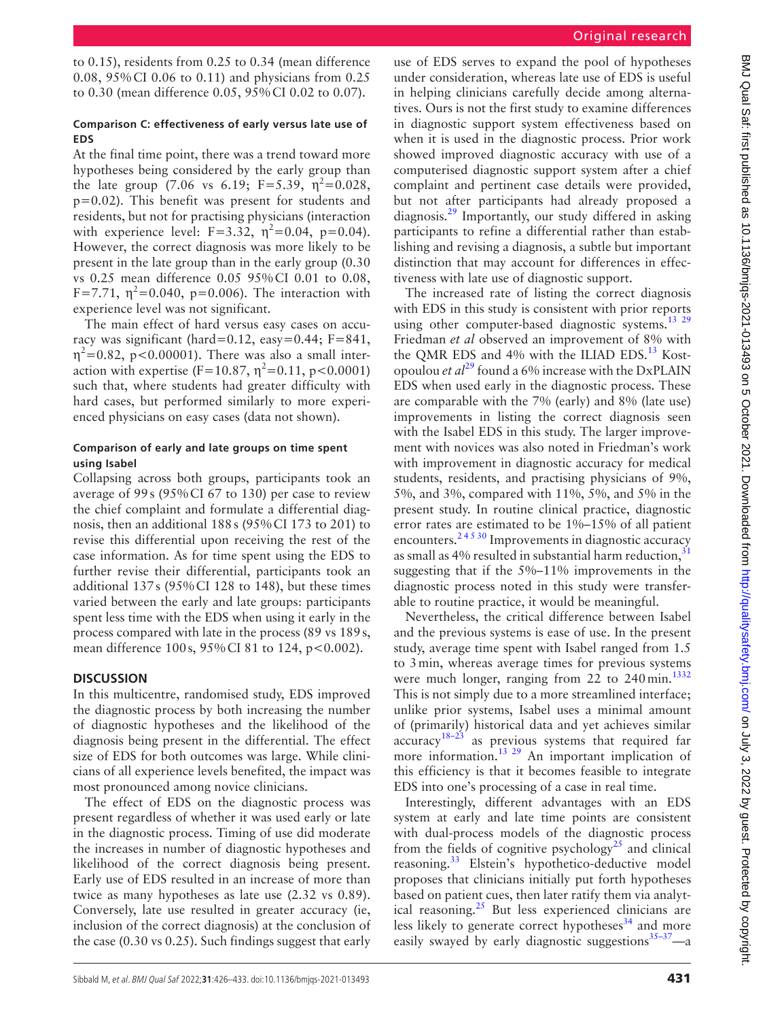to 0.15), residents from 0.25 to 0.34 (mean difference 0.08, 95%CI 0.06 to 0.11) and physicians from 0.25 to 0.30 (mean difference 0.05, 95%CI 0.02 to 0.07).

## **Comparison C: effectiveness of early versus late use of EDS**

At the final time point, there was a trend toward more hypotheses being considered by the early group than the late group (7.06 vs 6.19;  $F = 5.39$ ,  $\eta^2 = 0.028$ , p=0.02). This benefit was present for students and residents, but not for practising physicians (interaction with experience level:  $F=3.32$ ,  $\eta^2=0.04$ , p=0.04). However, the correct diagnosis was more likely to be present in the late group than in the early group (0.30 vs 0.25 mean difference 0.05 95%CI 0.01 to 0.08, F=7.71,  $\eta^2$ =0.040, p=0.006). The interaction with experience level was not significant.

The main effect of hard versus easy cases on accuracy was significant (hard=0.12, easy=0.44;  $F=841$ ,  $\eta^2$ =0.82, p<0.00001). There was also a small interaction with expertise (F=10.87,  $\eta^2$ =0.11, p<0.0001) such that, where students had greater difficulty with hard cases, but performed similarly to more experienced physicians on easy cases (data not shown).

## **Comparison of early and late groups on time spent using Isabel**

Collapsing across both groups, participants took an average of 99s (95%CI 67 to 130) per case to review the chief complaint and formulate a differential diagnosis, then an additional 188s (95%CI 173 to 201) to revise this differential upon receiving the rest of the case information. As for time spent using the EDS to further revise their differential, participants took an additional 137s (95%CI 128 to 148), but these times varied between the early and late groups: participants spent less time with the EDS when using it early in the process compared with late in the process (89 vs 189s, mean difference 100s, 95% CI 81 to 124, p<0.002).

## **DISCUSSION**

In this multicentre, randomised study, EDS improved the diagnostic process by both increasing the number of diagnostic hypotheses and the likelihood of the diagnosis being present in the differential. The effect size of EDS for both outcomes was large. While clinicians of all experience levels benefited, the impact was most pronounced among novice clinicians.

The effect of EDS on the diagnostic process was present regardless of whether it was used early or late in the diagnostic process. Timing of use did moderate the increases in number of diagnostic hypotheses and likelihood of the correct diagnosis being present. Early use of EDS resulted in an increase of more than twice as many hypotheses as late use (2.32 vs 0.89). Conversely, late use resulted in greater accuracy (ie, inclusion of the correct diagnosis) at the conclusion of the case (0.30 vs 0.25). Such findings suggest that early

use of EDS serves to expand the pool of hypotheses under consideration, whereas late use of EDS is useful in helping clinicians carefully decide among alternatives. Ours is not the first study to examine differences in diagnostic support system effectiveness based on when it is used in the diagnostic process. Prior work showed improved diagnostic accuracy with use of a computerised diagnostic support system after a chief complaint and pertinent case details were provided, but not after participants had already proposed a diagnosis.[29](#page-7-12) Importantly, our study differed in asking participants to refine a differential rather than establishing and revising a diagnosis, a subtle but important distinction that may account for differences in effectiveness with late use of diagnostic support.

The increased rate of listing the correct diagnosis with EDS in this study is consistent with prior reports using other computer-based diagnostic systems.<sup>[13 29](#page-7-4)</sup> Friedman *et al* observed an improvement of 8% with the QMR EDS and 4% with the ILIAD EDS.<sup>13</sup> Kostopoulou *et al*[29](#page-7-12) found a 6% increase with the DxPLAIN EDS when used early in the diagnostic process. These are comparable with the 7% (early) and 8% (late use) improvements in listing the correct diagnosis seen with the Isabel EDS in this study. The larger improvement with novices was also noted in Friedman's work with improvement in diagnostic accuracy for medical students, residents, and practising physicians of 9%, 5%, and 3%, compared with 11%, 5%, and 5% in the present study. In routine clinical practice, diagnostic error rates are estimated to be 1%–15% of all patient encounters.<sup>24530</sup> Improvements in diagnostic accuracy as small as 4% resulted in substantial harm reduction, $31$ suggesting that if the 5%–11% improvements in the diagnostic process noted in this study were transferable to routine practice, it would be meaningful.

Nevertheless, the critical difference between Isabel and the previous systems is ease of use. In the present study, average time spent with Isabel ranged from 1.5 to 3min, whereas average times for previous systems were much longer, ranging from 22 to 240min.<sup>[13](#page-7-4)[32](#page-7-14)</sup> This is not simply due to a more streamlined interface; unlike prior systems, Isabel uses a minimal amount of (primarily) historical data and yet achieves similar  $\arccuracy$ <sup>18–23</sup> as previous systems that required far more information.<sup>[13 29](#page-7-4)</sup> An important implication of this efficiency is that it becomes feasible to integrate EDS into one's processing of a case in real time.

Interestingly, different advantages with an EDS system at early and late time points are consistent with dual-process models of the diagnostic process from the fields of cognitive psychology<sup>[25](#page-7-9)</sup> and clinical reasoning.<sup>[33](#page-7-15)</sup> Elstein's hypothetico-deductive model proposes that clinicians initially put forth hypotheses based on patient cues, then later ratify them via analytical reasoning.<sup>25</sup> But less experienced clinicians are less likely to generate correct hypotheses $34$  and more easily swayed by early diagnostic suggestions $35-37$ —a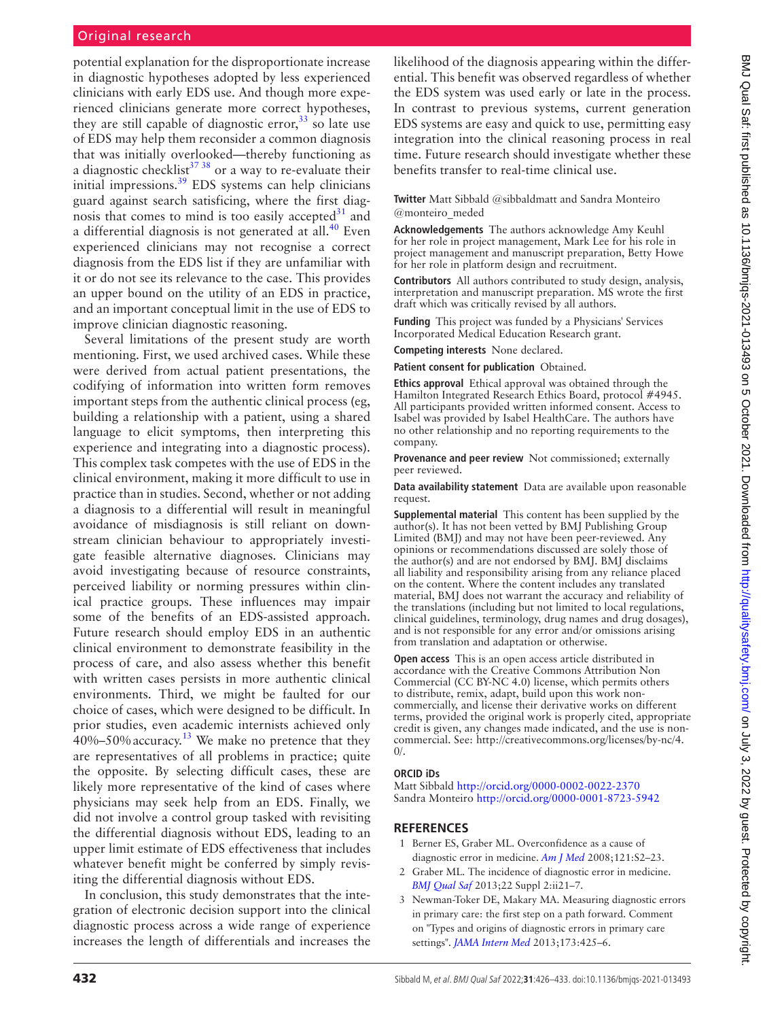potential explanation for the disproportionate increase in diagnostic hypotheses adopted by less experienced clinicians with early EDS use. And though more experienced clinicians generate more correct hypotheses, they are still capable of diagnostic error,  $33$  so late use of EDS may help them reconsider a common diagnosis that was initially overlooked—thereby functioning as a diagnostic checklist<sup>37,38</sup> or a way to re-evaluate their initial impressions. $39$  EDS systems can help clinicians guard against search satisficing, where the first diagnosis that comes to mind is too easily accepted $31$  and a differential diagnosis is not generated at all. $40$  Even experienced clinicians may not recognise a correct diagnosis from the EDS list if they are unfamiliar with it or do not see its relevance to the case. This provides an upper bound on the utility of an EDS in practice, and an important conceptual limit in the use of EDS to improve clinician diagnostic reasoning.

Several limitations of the present study are worth mentioning. First, we used archived cases. While these were derived from actual patient presentations, the codifying of information into written form removes important steps from the authentic clinical process (eg, building a relationship with a patient, using a shared language to elicit symptoms, then interpreting this experience and integrating into a diagnostic process). This complex task competes with the use of EDS in the clinical environment, making it more difficult to use in practice than in studies. Second, whether or not adding a diagnosis to a differential will result in meaningful avoidance of misdiagnosis is still reliant on downstream clinician behaviour to appropriately investigate feasible alternative diagnoses. Clinicians may avoid investigating because of resource constraints, perceived liability or norming pressures within clinical practice groups. These influences may impair some of the benefits of an EDS-assisted approach. Future research should employ EDS in an authentic clinical environment to demonstrate feasibility in the process of care, and also assess whether this benefit with written cases persists in more authentic clinical environments. Third, we might be faulted for our choice of cases, which were designed to be difficult. In prior studies, even academic internists achieved only  $40\% - 50\%$  accuracy.<sup>[13](#page-7-4)</sup> We make no pretence that they are representatives of all problems in practice; quite the opposite. By selecting difficult cases, these are likely more representative of the kind of cases where physicians may seek help from an EDS. Finally, we did not involve a control group tasked with revisiting the differential diagnosis without EDS, leading to an upper limit estimate of EDS effectiveness that includes whatever benefit might be conferred by simply revisiting the differential diagnosis without EDS.

In conclusion, this study demonstrates that the integration of electronic decision support into the clinical diagnostic process across a wide range of experience increases the length of differentials and increases the likelihood of the diagnosis appearing within the differential. This benefit was observed regardless of whether the EDS system was used early or late in the process. In contrast to previous systems, current generation EDS systems are easy and quick to use, permitting easy integration into the clinical reasoning process in real time. Future research should investigate whether these benefits transfer to real-time clinical use.

## **Twitter** Matt Sibbald [@sibbaldmatt](https://twitter.com/sibbaldmatt) and Sandra Monteiro [@monteiro\\_meded](https://twitter.com/monteiro_meded)

**Acknowledgements** The authors acknowledge Amy Keuhl for her role in project management, Mark Lee for his role in project management and manuscript preparation, Betty Howe for her role in platform design and recruitment.

**Contributors** All authors contributed to study design, analysis, interpretation and manuscript preparation. MS wrote the first draft which was critically revised by all authors.

**Funding** This project was funded by a Physicians' Services Incorporated Medical Education Research grant.

**Competing interests** None declared.

**Patient consent for publication** Obtained.

**Ethics approval** Ethical approval was obtained through the Hamilton Integrated Research Ethics Board, protocol #4945. All participants provided written informed consent. Access to Isabel was provided by Isabel HealthCare. The authors have no other relationship and no reporting requirements to the company.

**Provenance and peer review** Not commissioned; externally peer reviewed.

**Data availability statement** Data are available upon reasonable request.

**Supplemental material** This content has been supplied by the author(s). It has not been vetted by BMJ Publishing Group Limited (BMJ) and may not have been peer-reviewed. Any opinions or recommendations discussed are solely those of the author(s) and are not endorsed by BMJ. BMJ disclaims all liability and responsibility arising from any reliance placed on the content. Where the content includes any translated material, BMJ does not warrant the accuracy and reliability of the translations (including but not limited to local regulations, clinical guidelines, terminology, drug names and drug dosages), and is not responsible for any error and/or omissions arising from translation and adaptation or otherwise.

**Open access** This is an open access article distributed in accordance with the Creative Commons Attribution Non Commercial (CC BY-NC 4.0) license, which permits others to distribute, remix, adapt, build upon this work noncommercially, and license their derivative works on different terms, provided the original work is properly cited, appropriate credit is given, any changes made indicated, and the use is noncommercial. See: [http://creativecommons.org/licenses/by-nc/4.](http://creativecommons.org/licenses/by-nc/4.0/)  $0/$ .

## **ORCID iDs**

Matt Sibbald <http://orcid.org/0000-0002-0022-2370> Sandra Monteiro<http://orcid.org/0000-0001-8723-5942>

## **REFERENCES**

- <span id="page-6-0"></span>1 Berner ES, Graber ML. Overconfidence as a cause of diagnostic error in medicine. *[Am J Med](http://dx.doi.org/10.1016/j.amjmed.2008.01.001)* 2008;121:S2–23.
- <span id="page-6-1"></span>2 Graber ML. The incidence of diagnostic error in medicine. *[BMJ Qual Saf](http://dx.doi.org/10.1136/bmjqs-2012-001615)* 2013;22 Suppl 2:ii21–7.
- 3 Newman-Toker DE, Makary MA. Measuring diagnostic errors in primary care: the first step on a path forward. Comment on "Types and origins of diagnostic errors in primary care settings". *[JAMA Intern Med](http://dx.doi.org/10.1001/jamainternmed.2013.225)* 2013;173:425–6.